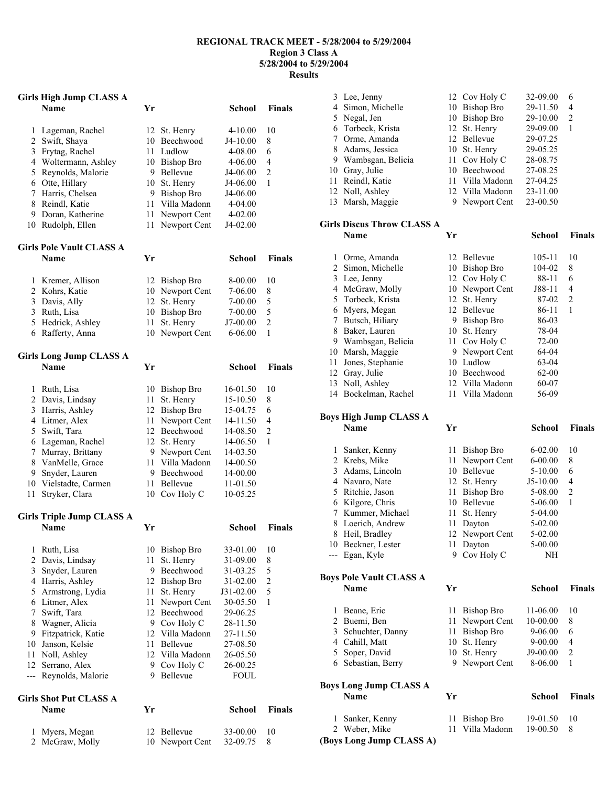#### **REGIONAL TRACK MEET - 5/28/2004 to 5/29/2004 Region 3 Class A 5/28/2004 to 5/29/2004 Results**

### **Girls High Jump CLASS A**

|              | Name                             | Yr     |                   | <b>School</b> | <b>Finals</b>           |
|--------------|----------------------------------|--------|-------------------|---------------|-------------------------|
| 1            | Lageman, Rachel                  | 12     | St. Henry         | $4 - 10.00$   | 10                      |
|              | 2 Swift, Shaya                   |        | 10 Beechwood      | J4-10.00      | 8                       |
| 3            | Frytag, Rachel                   | 11 -   | Ludlow            | 4-08.00       | 6                       |
|              | 4 Woltermann, Ashley             |        | 10 Bishop Bro     | 4-06.00       | 4                       |
| 5            | Reynolds, Malorie                |        | 9 Bellevue        | J4-06.00      | $\overline{c}$          |
|              | 6 Otte, Hillary                  | 10     | St. Henry         | J4-06.00      | 1                       |
|              | 7 Harris, Chelsea                | 9      | <b>Bishop Bro</b> | J4-06.00      |                         |
| 8            | Reindl, Katie                    | 11     | Villa Madonn      | 4-04.00       |                         |
|              | 9 Doran, Katherine               | 11     | Newport Cent      | 4-02.00       |                         |
| 10           | Rudolph, Ellen                   | $1\,1$ | Newport Cent      | J4-02.00      |                         |
|              | <b>Girls Pole Vault CLASS A</b>  |        |                   |               |                         |
|              | Name                             | Yr     |                   | <b>School</b> | Finals                  |
| 1            | Kremer, Allison                  |        | 12 Bishop Bro     | 8-00.00       | 10                      |
|              | 2 Kohrs, Katie                   |        | 10 Newport Cent   | 7-06.00       | 8                       |
|              | 3 Davis, Ally                    | 12     | St. Henry         | 7-00.00       | 5                       |
|              | 3 Ruth, Lisa                     |        | 10 Bishop Bro     | 7-00.00       | 5                       |
|              | 5 Hedrick, Ashley                | 11     | St. Henry         | J7-00.00      | $\overline{c}$          |
|              | 6 Rafferty, Anna                 | 10     | Newport Cent      | 6-06.00       | $\mathbf{1}$            |
|              |                                  |        |                   |               |                         |
|              | <b>Girls Long Jump CLASS A</b>   |        |                   |               |                         |
|              | <b>Name</b>                      | Yr     |                   | <b>School</b> | Finals                  |
| 1            | Ruth, Lisa                       |        | 10 Bishop Bro     | 16-01.50      | 10                      |
|              | 2 Davis, Lindsay                 | 11     | St. Henry         | 15-10.50      | 8                       |
|              | 3 Harris, Ashley                 |        | 12 Bishop Bro     | 15-04.75      | 6                       |
|              | 4 Litmer, Alex                   | 11     | Newport Cent      | 14-11.50      | 4                       |
|              | 5 Swift, Tara                    |        | 12 Beechwood      | 14-08.50      | 2                       |
|              | 6 Lageman, Rachel                |        | 12 St. Henry      | 14-06.50      | 1                       |
|              | 7 Murray, Brittany               |        | 9 Newport Cent    | 14-03.50      |                         |
|              | 8 VanMelle, Grace                |        | 11 Villa Madonn   | 14-00.50      |                         |
| 9.           | Snyder, Lauren                   |        | 9 Beechwood       | 14-00.00      |                         |
|              | 10 Vielstadte, Carmen            | 11     | Bellevue          | 11-01.50      |                         |
| 11           | Stryker, Clara                   | 10     | Cov Holy C        | 10-05.25      |                         |
|              | <b>Girls Triple Jump CLASS A</b> |        |                   |               |                         |
|              | <b>Name</b>                      | Yr     |                   | School        | Finals                  |
| $\mathbf{1}$ | Ruth, Lisa                       | 10     | <b>Bishop Bro</b> | 33-01.00      | $10\,$                  |
| 2            | Davis, Lindsay                   | 11     | St. Henry         | 31-09.00      | 8                       |
| 3            | Snyder, Lauren                   | 9      | Beechwood         | 31-03.25      | 5                       |
|              | 4 Harris, Ashley                 | 12     | <b>Bishop Bro</b> | 31-02.00      | $\overline{\mathbf{c}}$ |
| 5            | Armstrong, Lydia                 | 11     | St. Henry         | J31-02.00     | 5                       |
|              | 6 Litmer, Alex                   | 11     | Newport Cent      | 30-05.50      | $\mathbf{1}$            |
| $\tau$       | Swift, Tara                      | 12     | Beechwood         | 29-06.25      |                         |
| 8            | Wagner, Alicia                   | 9      | Cov Holy C        | 28-11.50      |                         |
| 9            | Fitzpatrick, Katie               |        | 12 Villa Madonn   | 27-11.50      |                         |
| 10           | Janson, Kelsie                   | 11     | Bellevue          | 27-08.50      |                         |
| 11           | Noll, Ashley                     |        | 12 Villa Madonn   | 26-05.50      |                         |
| 12           | Serrano, Alex                    | 9      | Cov Holy C        | 26-00.25      |                         |
| ---          | Reynolds, Malorie                | 9      | Bellevue          | <b>FOUL</b>   |                         |
|              | <b>Girls Shot Put CLASS A</b>    |        |                   |               |                         |
|              | Name                             | Yr     |                   | School        | <b>Finals</b>           |
|              |                                  |        |                   |               |                         |
| 1<br>2       | Myers, Megan                     | 12     | Bellevue          | 33-00.00      | 10                      |
|              | McGraw, Molly                    | 10     | Newport Cent      | 32-09.75      | 8                       |

| 3  | Lee, Jenny                 |        | 12 Cov Holy C           | 32-09.00   | 6              |
|----|----------------------------|--------|-------------------------|------------|----------------|
| 4  | Simon, Michelle            | 10     | Bishop Bro              | 29-11.50   | 4              |
| 5  | Negal, Jen                 | 10     | Bishop Bro              | 29-10.00   | $\overline{2}$ |
| 6  | Torbeck, Krista            | 12     | St. Henry               | 29-09.00   | 1              |
| 7  | Orme, Amanda               | 12     | Bellevue                | 29-07.25   |                |
| 8  | Adams, Jessica             | 10     | St. Henry               | 29-05.25   |                |
| 9  | Wambsgan, Belicia          | 11     | Cov Holy C              | 28-08.75   |                |
| 10 | Gray, Julie                | 10     | Beechwood               | 27-08.25   |                |
| 11 | Reindl, Katie              | 11     | Villa Madonn            | 27-04.25   |                |
| 12 | Noll, Ashley               |        | 12 Villa Madonn         | 23-11.00   |                |
| 13 | Marsh, Maggie              | 9      | Newport Cent            | 23-00.50   |                |
|    | Girls Discus Throw CLASS A |        |                         |            |                |
|    | Name                       | Yr     |                         | School     | <b>Finals</b>  |
| 1  | Orme, Amanda               | 12     | Bellevue                | $105 - 11$ | 10             |
| 2  | Simon, Michelle            | 10     | Bishop Bro              | 104-02     | 8              |
| 3  | Lee, Jenny                 |        | 12 Cov Holy C           | 88-11      | 6              |
| 4  | McGraw, Molly              |        | 10 Newport Cent         | J88-11     | 4              |
|    | m 1 1 17                   | $\sim$ | $\alpha$ , $\mathbf{r}$ | 07.02      |                |

|       | 5 Torbeck, Krista             |    | 12 St. Henry    | 87-02       | 2              |
|-------|-------------------------------|----|-----------------|-------------|----------------|
| 6     | Myers, Megan                  |    | 12 Bellevue     | 86-11       | $\mathbf{1}$   |
| 7     | Butsch, Hiliary               |    | 9 Bishop Bro    | 86-03       |                |
| 8     | Baker, Lauren                 | 10 | St. Henry       | 78-04       |                |
| 9     | Wambsgan, Belicia             | 11 | Cov Holy C      | 72-00       |                |
| 10    | Marsh, Maggie                 | 9  | Newport Cent    | 64-04       |                |
| 11    | Jones, Stephanie              | 10 | Ludlow          | 63-04       |                |
|       | 12 Gray, Julie                | 10 | Beechwood       | $62-00$     |                |
|       | 13 Noll, Ashley               |    | 12 Villa Madonn | 60-07       |                |
|       | 14 Bockelman, Rachel          |    | 11 Villa Madonn | 56-09       |                |
|       |                               |    |                 |             |                |
|       | <b>Boys High Jump CLASS A</b> |    |                 |             |                |
|       | Name                          | Yr |                 | School      | <b>Finals</b>  |
| 1     | Sanker, Kenny                 |    | 11 Bishop Bro   | $6 - 02.00$ | 10             |
| 2     | Krebs, Mike                   | 11 | Newport Cent    | $6 - 00.00$ | 8              |
|       | 3 Adams, Lincoln              | 10 | <b>Bellevue</b> | $5 - 10.00$ | 6              |
|       | 4 Navaro, Nate                | 12 | St. Henry       | $J5-10.00$  | 4              |
| 5     | Ritchie, Jason                | 11 | Bishop Bro      | 5-08.00     | $\overline{c}$ |
| 6     | Kilgore, Chris                | 10 | Bellevue        | 5-06.00     | $\mathbf{1}$   |
| 7     | Kummer, Michael               | 11 | St. Henry       | 5-04.00     |                |
| 8     | Loerich, Andrew               | 11 | Dayton          | 5-02.00     |                |
| 8     | Heil, Bradley                 | 12 | Newport Cent    | $5-02.00$   |                |
| 10    | Beckner, Lester               | 11 | Dayton          | 5-00.00     |                |
| $---$ | Egan, Kyle                    | 9  | Cov Holy C      | NH          |                |
|       |                               |    |                 |             |                |
|       |                               |    |                 |             |                |

## **Boys Pole Vault CLASS A**

| <b>Name</b>        | Yг |                 | School      | <b>Finals</b> |
|--------------------|----|-----------------|-------------|---------------|
| Beane, Eric        |    | 11 Bishop Bro   | 11-06.00    | 10            |
| 2 Buemi, Ben       |    | 11 Newport Cent | 10-00.00    | 8             |
| 3 Schuchter, Danny |    | 11 Bishop Bro   | 9-06.00     | 6             |
| 4 Cahill, Matt     |    | 10 St. Henry    | $9 - 00.00$ | 4             |
| 5 Soper, David     |    | 10 St. Henry    | J9-00.00    | 2             |
| 6 Sebastian, Berry |    | 9 Newport Cent  | 8-06.00     |               |
|                    |    |                 |             |               |

# **Boys Long Jump CLASS A**

| 1 Sanker, Kenny<br>2 Weber, Mike<br>(Boys Long Jump CLASS A) | 11 Bishop Bro<br>11 Villa Madonn | 19-01.50<br>19-00.50 | 10 |
|--------------------------------------------------------------|----------------------------------|----------------------|----|
|--------------------------------------------------------------|----------------------------------|----------------------|----|

**Name Yr School Finals**